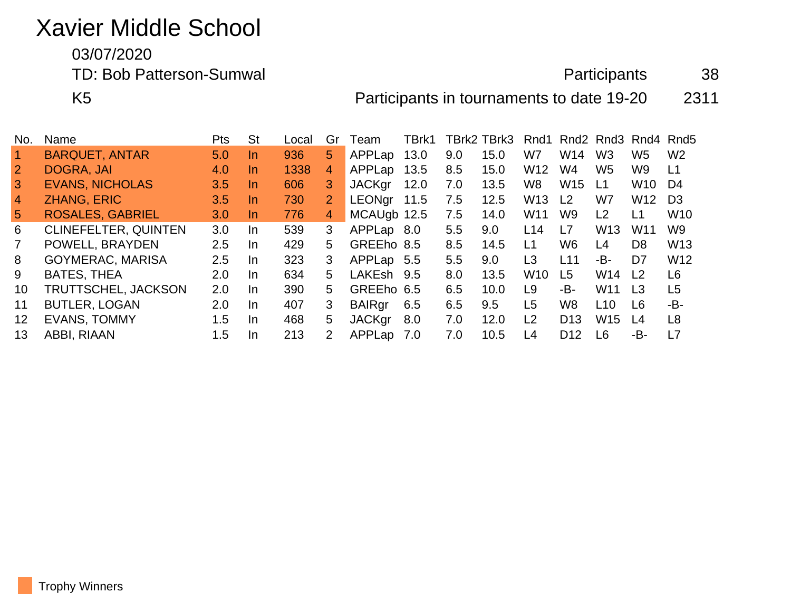## Xavier Middle School

03/07/2020

TD: Bob Patterson-Sumwal and a settlement of the settlement of the Participants and 38

K5 Participants in tournaments to date 19-20 2311

| No.            | Name                        | Pts     | <b>St</b> | Local | Gr             | Team          | TBrk1 |     | TBrk2 TBrk3 | Rnd1            |                 |                 | Rnd <sub>2</sub> Rnd <sub>3</sub> Rnd <sub>4</sub> Rnd <sub>5</sub> |                 |
|----------------|-----------------------------|---------|-----------|-------|----------------|---------------|-------|-----|-------------|-----------------|-----------------|-----------------|---------------------------------------------------------------------|-----------------|
|                | <b>BARQUET, ANTAR</b>       | 5.0     | In.       | 936   | $5^{\circ}$    | APPLap        | 13.0  | 9.0 | 15.0        | W7              | W14             | W <sub>3</sub>  | W <sub>5</sub>                                                      | W <sub>2</sub>  |
| $\overline{2}$ | DOGRA, JAI                  | 4.0     | $\ln$     | 1338  | 4              | APPLap        | 13.5  | 8.5 | 15.0        | W <sub>12</sub> | W4              | W5              | W9                                                                  | L1              |
| 3              | <b>EVANS, NICHOLAS</b>      | 3.5     | $\ln$     | 606   | 3              | <b>JACKgr</b> | 12.0  | 7.0 | 13.5        | W <sub>8</sub>  | W <sub>15</sub> | L <sub>1</sub>  | W10                                                                 | D4              |
| 4              | <b>ZHANG, ERIC</b>          | 3.5     | In.       | 730   | $\overline{2}$ | <b>LEONgr</b> | 11.5  | 7.5 | 12.5        | W <sub>13</sub> | L <sub>2</sub>  | W7              | W <sub>12</sub>                                                     | D <sub>3</sub>  |
| $\sqrt{5}$     | <b>ROSALES, GABRIEL</b>     | 3.0     | In.       | 776   | 4              | MCAUgb 12.5   |       | 7.5 | 14.0        | W <sub>11</sub> | W9              | L <sub>2</sub>  | L1                                                                  | W <sub>10</sub> |
| 6              | <b>CLINEFELTER, QUINTEN</b> | 3.0     | <b>In</b> | 539   | 3              | APPLap 8.0    |       | 5.5 | 9.0         | L14             | L7              | W <sub>13</sub> | W <sub>11</sub>                                                     | W <sub>9</sub>  |
| $\mathbf{7}$   | POWELL, BRAYDEN             | 2.5     | In.       | 429   | 5              | GREEho 8.5    |       | 8.5 | 14.5        | L1              | W <sub>6</sub>  | L4              | D <sub>8</sub>                                                      | W <sub>13</sub> |
| 8              | <b>GOYMERAC, MARISA</b>     | $2.5\,$ | <b>In</b> | 323   | 3              | APPLap 5.5    |       | 5.5 | 9.0         | L <sub>3</sub>  | L11             | -В-             | D7                                                                  | W <sub>12</sub> |
| 9              | <b>BATES, THEA</b>          | 2.0     | $\ln$     | 634   | 5              | LAKEsh        | 9.5   | 8.0 | 13.5        | W <sub>10</sub> | L <sub>5</sub>  | W14             | L <sub>2</sub>                                                      | L6              |
| 10             | TRUTTSCHEL, JACKSON         | 2.0     | In.       | 390   | 5              | GREEho 6.5    |       | 6.5 | 10.0        | L <sub>9</sub>  | -B-             | W <sub>11</sub> | L <sub>3</sub>                                                      | L <sub>5</sub>  |
| 11             | <b>BUTLER, LOGAN</b>        | 2.0     | <b>In</b> | 407   | 3              | <b>BAIRgr</b> | 6.5   | 6.5 | 9.5         | L <sub>5</sub>  | W8              | L <sub>10</sub> | L6                                                                  | -B-             |
| 12             | <b>EVANS, TOMMY</b>         | 1.5     | In        | 468   | 5              | <b>JACKgr</b> | 8.0   | 7.0 | 12.0        | L <sub>2</sub>  | D <sub>13</sub> | W15             | L4                                                                  | L <sub>8</sub>  |
| 13             | ABBI, RIAAN                 | 1.5     | $\ln$     | 213   | 2              | APPLap        | 7.0   | 7.0 | 10.5        | L4              | D <sub>12</sub> | L <sub>6</sub>  | -B-                                                                 | L7              |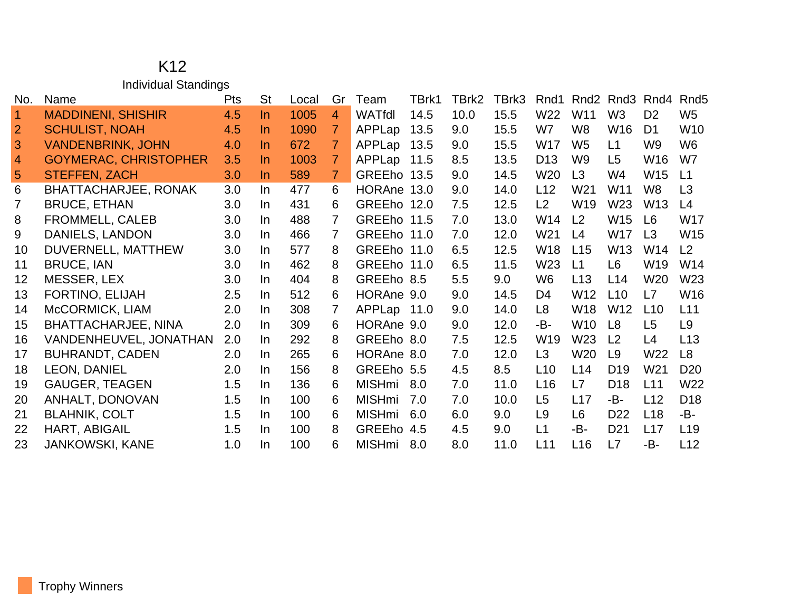## K12 Individual Standings

| No.            | Name                         | Pts | <b>St</b> | Local | Gr             | Team          | TBrk1 | TBrk2 | TBrk3 | Rnd1            | Rnd <sub>2</sub> | Rnd <sub>3</sub> | Rnd4            | Rnd <sub>5</sub> |
|----------------|------------------------------|-----|-----------|-------|----------------|---------------|-------|-------|-------|-----------------|------------------|------------------|-----------------|------------------|
| $\vert$ 1      | <b>MADDINENI, SHISHIR</b>    | 4.5 | In.       | 1005  | $\overline{4}$ | WATfdl        | 14.5  | 10.0  | 15.5  | W22             | W <sub>11</sub>  | W <sub>3</sub>   | D <sub>2</sub>  | W <sub>5</sub>   |
| $\overline{2}$ | <b>SCHULIST, NOAH</b>        | 4.5 | In.       | 1090  | 7              | APPLap        | 13.5  | 9.0   | 15.5  | W7              | W <sub>8</sub>   | W <sub>16</sub>  | D <sub>1</sub>  | W <sub>10</sub>  |
| 3              | <b>VANDENBRINK, JOHN</b>     | 4.0 | In.       | 672   | 7              | APPLap        | 13.5  | 9.0   | 15.5  | W17             | W <sub>5</sub>   | L1               | W <sub>9</sub>  | W <sub>6</sub>   |
| $\overline{4}$ | <b>GOYMERAC, CHRISTOPHER</b> | 3.5 | In.       | 1003  | 7              | APPLap 11.5   |       | 8.5   | 13.5  | D <sub>13</sub> | W <sub>9</sub>   | L5               | W <sub>16</sub> | W7               |
| 5              | <b>STEFFEN, ZACH</b>         | 3.0 | In.       | 589   | $\overline{7}$ | GREEho 13.5   |       | 9.0   | 14.5  | W <sub>20</sub> | L3               | W4               | W15             | L1               |
| 6              | <b>BHATTACHARJEE, RONAK</b>  | 3.0 | In.       | 477   | 6              | HORAne 13.0   |       | 9.0   | 14.0  | L12             | W21              | W11              | W <sub>8</sub>  | L3               |
| 7              | <b>BRUCE, ETHAN</b>          | 3.0 | In.       | 431   | 6              | GREEho 12.0   |       | 7.5   | 12.5  | L2              | W <sub>19</sub>  | W <sub>23</sub>  | W <sub>13</sub> | L4               |
| 8              | FROMMELL, CALEB              | 3.0 | In.       | 488   | 7              | GREEho 11.5   |       | 7.0   | 13.0  | W14             | L2               | W <sub>15</sub>  | L <sub>6</sub>  | W17              |
| 9              | DANIELS, LANDON              | 3.0 | In.       | 466   | 7              | GREEho 11.0   |       | 7.0   | 12.0  | W21             | L <sub>4</sub>   | W17              | L <sub>3</sub>  | W <sub>15</sub>  |
| 10             | DUVERNELL, MATTHEW           | 3.0 | In.       | 577   | 8              | GREEho 11.0   |       | 6.5   | 12.5  | W <sub>18</sub> | L15              | W <sub>13</sub>  | W14             | L2               |
| 11             | <b>BRUCE, IAN</b>            | 3.0 | In.       | 462   | 8              | GREEho 11.0   |       | 6.5   | 11.5  | W <sub>23</sub> | L1               | L <sub>6</sub>   | W <sub>19</sub> | W14              |
| 12             | MESSER, LEX                  | 3.0 | In.       | 404   | 8              | GREEho 8.5    |       | 5.5   | 9.0   | W <sub>6</sub>  | L13              | L14              | W <sub>20</sub> | W23              |
| 13             | FORTINO, ELIJAH              | 2.5 | In.       | 512   | 6              | HORAne 9.0    |       | 9.0   | 14.5  | D <sub>4</sub>  | W12              | L10              | L7              | W16              |
| 14             | McCORMICK, LIAM              | 2.0 | In.       | 308   | $\overline{7}$ | APPLap 11.0   |       | 9.0   | 14.0  | L8              | <b>W18</b>       | W <sub>12</sub>  | L10             | L11              |
| 15             | <b>BHATTACHARJEE, NINA</b>   | 2.0 | In.       | 309   | 6              | HORAne 9.0    |       | 9.0   | 12.0  | -B-             | W <sub>10</sub>  | L <sub>8</sub>   | L <sub>5</sub>  | L <sub>9</sub>   |
| 16             | VANDENHEUVEL, JONATHAN       | 2.0 | In.       | 292   | 8              | GREEho 8.0    |       | 7.5   | 12.5  | W <sub>19</sub> | W <sub>23</sub>  | L <sub>2</sub>   | L4              | L13              |
| 17             | <b>BUHRANDT, CADEN</b>       | 2.0 | In.       | 265   | 6              | HORAne 8.0    |       | 7.0   | 12.0  | L3              | W <sub>20</sub>  | L9               | W22             | L8               |
| 18             | LEON, DANIEL                 | 2.0 | In.       | 156   | 8              | GREEho 5.5    |       | 4.5   | 8.5   | L <sub>10</sub> | L14              | D <sub>19</sub>  | W <sub>21</sub> | D <sub>20</sub>  |
| 19             | <b>GAUGER, TEAGEN</b>        | 1.5 | In.       | 136   | 6              | <b>MISHmi</b> | 8.0   | 7.0   | 11.0  | L16             | L7               | D <sub>18</sub>  | L11             | W22              |
| 20             | ANHALT, DONOVAN              | 1.5 | In.       | 100   | 6              | <b>MISHmi</b> | 7.0   | 7.0   | 10.0  | L <sub>5</sub>  | L17              | -B-              | L12             | D <sub>18</sub>  |
| 21             | <b>BLAHNIK, COLT</b>         | 1.5 | In.       | 100   | 6              | <b>MISHmi</b> | 6.0   | 6.0   | 9.0   | L <sub>9</sub>  | L <sub>6</sub>   | D <sub>22</sub>  | L18             | -B-              |
| 22             | HART, ABIGAIL                | 1.5 | In.       | 100   | 8              | <b>GREEho</b> | 4.5   | 4.5   | 9.0   | L1              | -B-              | D <sub>21</sub>  | L17             | L <sub>19</sub>  |
| 23             | <b>JANKOWSKI, KANE</b>       | 1.0 | In.       | 100   | 6              | <b>MISHmi</b> | 8.0   | 8.0   | 11.0  | L11             | L16              | L7               | -B-             | L12              |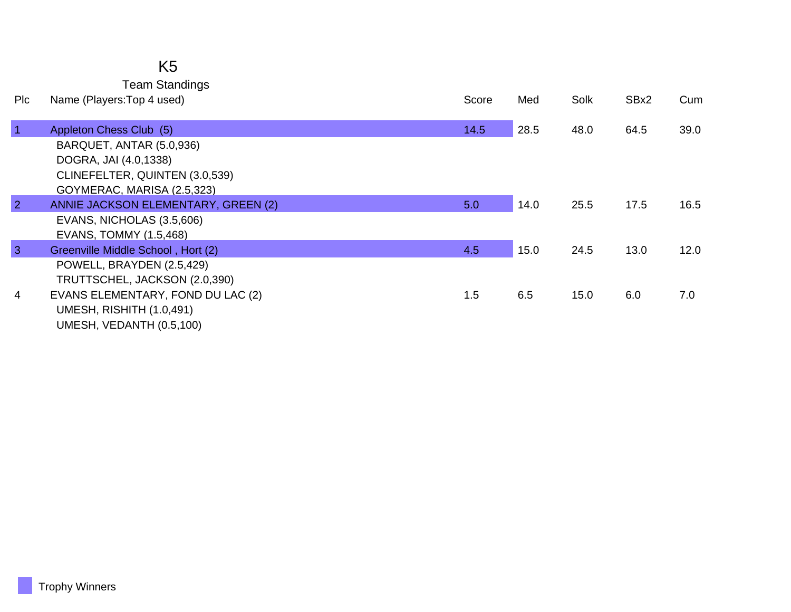## K5

Team Standings

| Plc            | Name (Players: Top 4 used)          | Score | Med  | Solk | SBx2 | Cum  |
|----------------|-------------------------------------|-------|------|------|------|------|
|                |                                     |       |      |      |      |      |
| $\vert$ 1      | Appleton Chess Club (5)             | 14.5  | 28.5 | 48.0 | 64.5 | 39.0 |
|                | BARQUET, ANTAR (5.0,936)            |       |      |      |      |      |
|                | DOGRA, JAI (4.0,1338)               |       |      |      |      |      |
|                | CLINEFELTER, QUINTEN (3.0,539)      |       |      |      |      |      |
|                | GOYMERAC, MARISA (2.5,323)          |       |      |      |      |      |
| $\overline{2}$ | ANNIE JACKSON ELEMENTARY, GREEN (2) | 5.0   | 14.0 | 25.5 | 17.5 | 16.5 |
|                | EVANS, NICHOLAS (3.5,606)           |       |      |      |      |      |
|                | <b>EVANS, TOMMY (1.5,468)</b>       |       |      |      |      |      |
| $\overline{3}$ | Greenville Middle School, Hort (2)  | 4.5   | 15.0 | 24.5 | 13.0 | 12.0 |
|                | POWELL, BRAYDEN (2.5,429)           |       |      |      |      |      |
|                | TRUTTSCHEL, JACKSON (2.0,390)       |       |      |      |      |      |
| $\overline{4}$ | EVANS ELEMENTARY, FOND DU LAC (2)   | 1.5   | 6.5  | 15.0 | 6.0  | 7.0  |
|                | UMESH, RISHITH (1.0,491)            |       |      |      |      |      |
|                | UMESH, VEDANTH (0.5,100)            |       |      |      |      |      |
|                |                                     |       |      |      |      |      |